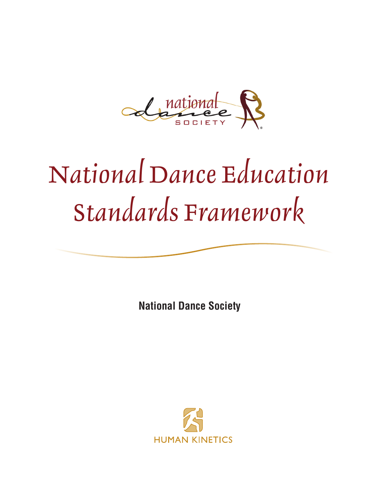Alazional R

# *National Dance Education Standards Framework*

**National Dance Society**

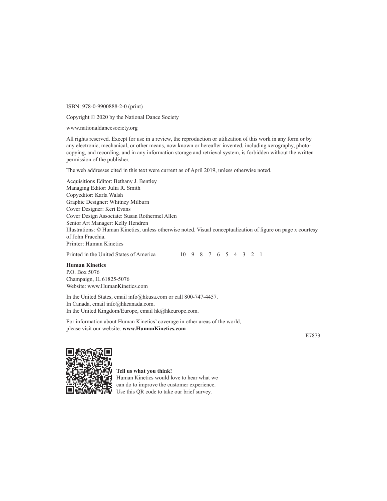ISBN: 978-0-9900888-2-0 (print)

Copyright © 2020 by the National Dance Society

www.nationaldancesociety.org

All rights reserved. Except for use in a review, the reproduction or utilization of this work in any form or by any electronic, mechanical, or other means, now known or hereafter invented, including xerography, photocopying, and recording, and in any information storage and retrieval system, is forbidden without the written permission of the publisher.

The web addresses cited in this text were current as of April 2019, unless otherwise noted.

Acquisitions Editor: Bethany J. Bentley Managing Editor: Julia R. Smith Copyeditor: Karla Walsh Graphic Designer: Whitney Milburn Cover Designer: Keri Evans Cover Design Associate: Susan Rothermel Allen Senior Art Manager: Kelly Hendren Illustrations: © Human Kinetics, unless otherwise noted. Visual conceptualization of figure on page x courtesy of John Fracchia. Printer: Human Kinetics

Printed in the United States of America 10 9 8 7 6 5 4 3 2 1

#### **Human Kinetics**

P.O. Box 5076 Champaign, IL 61825-5076 Website: www.HumanKinetics.com

In the United States, email info@hkusa.com or call 800-747-4457. In Canada, email info@hkcanada.com. In the United Kingdom/Europe, email hk@hkeurope.com.

For information about Human Kinetics' coverage in other areas of the world, please visit our website: **www.HumanKinetics.com**

E7873



**Tell us what you think!**  Human Kinetics would love to hear what we can do to improve the customer experience. Use this QR code to take our brief survey.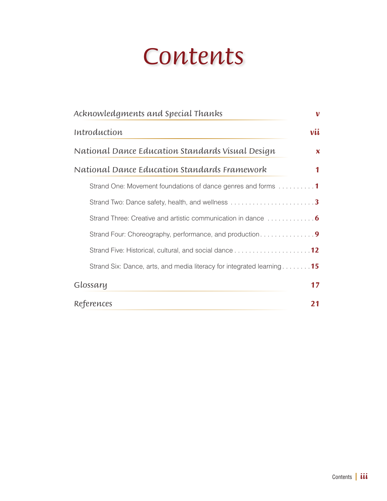# *Contents*

| Acknowledgments and Special Thanks<br>v                                       |
|-------------------------------------------------------------------------------|
| vii<br>Introduction                                                           |
| National Dance Education Standards Visual Design<br>$\boldsymbol{\mathsf{x}}$ |
| National Dance Education Standards Framework                                  |
| Strand One: Movement foundations of dance genres and forms $\dots\dots\dots$  |
|                                                                               |
|                                                                               |
| Strand Four: Choreography, performance, and production9                       |
|                                                                               |
| Strand Six: Dance, arts, and media literacy for integrated learning 15        |
| Glossary<br>17                                                                |
| References<br>21                                                              |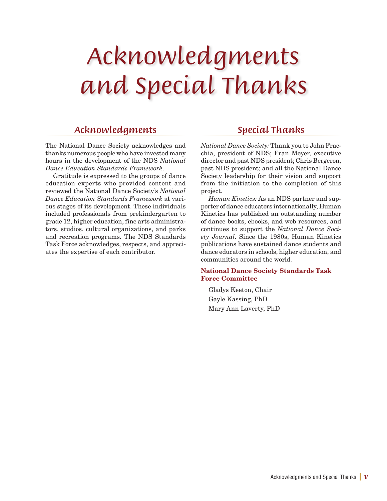# *Acknowledgments and Special Thanks*

### *Acknowledgments*

The National Dance Society acknowledges and thanks numerous people who have invested many hours in the development of the NDS *National Dance Education Standards Framework*.

Gratitude is expressed to the groups of dance education experts who provided content and reviewed the National Dance Society's *National Dance Education Standards Framework* at various stages of its development. These individuals included professionals from prekindergarten to grade 12, higher education, fine arts administrators, studios, cultural organizations, and parks and recreation programs. The NDS Standards Task Force acknowledges, respects, and appreciates the expertise of each contributor.

### *Special Thanks*

*National Dance Society:* Thank you to John Fracchia, president of NDS; Fran Meyer, executive director and past NDS president; Chris Bergeron, past NDS president; and all the National Dance Society leadership for their vision and support from the initiation to the completion of this project.

*Human Kinetics:* As an NDS partner and supporter of dance educators internationally, Human Kinetics has published an outstanding number of dance books, ebooks, and web resources, and continues to support the *National Dance Society Journal*. Since the 1980s, Human Kinetics publications have sustained dance students and dance educators in schools, higher education, and communities around the world.

#### National Dance Society Standards Task Force Committee

Gladys Keeton, Chair Gayle Kassing, PhD Mary Ann Laverty, PhD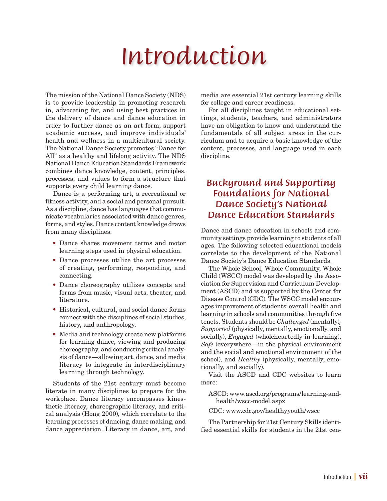# *Introduction*

The mission of the National Dance Society (NDS) is to provide leadership in promoting research in, advocating for, and using best practices in the delivery of dance and dance education in order to further dance as an art form, support academic success, and improve individuals' health and wellness in a multicultural society. The National Dance Society promotes "Dance for All" as a healthy and lifelong activity. The NDS National Dance Education Standards Framework combines dance knowledge, content, principles, processes, and values to form a structure that supports every child learning dance.

Dance is a performing art, a recreational or fitness activity, and a social and personal pursuit. As a discipline, dance has languages that communicate vocabularies associated with dance genres, forms, and styles. Dance content knowledge draws from many disciplines.

- Dance shares movement terms and motor learning steps used in physical education.
- Dance processes utilize the art processes of creating, performing, responding, and connecting.
- Dance choreography utilizes concepts and forms from music, visual arts, theater, and literature.
- Historical, cultural, and social dance forms connect with the disciplines of social studies, history, and anthropology.
- Media and technology create new platforms for learning dance, viewing and producing choreography, and conducting critical analysis of dance—allowing art, dance, and media literacy to integrate in interdisciplinary learning through technology.

Students of the 21st century must become literate in many disciplines to prepare for the workplace. Dance literacy encompasses kinesthetic literacy, choreographic literacy, and critical analysis (Hong 2000), which correlate to the learning processes of dancing, dance making, and dance appreciation. Literacy in dance, art, and media are essential 21st century learning skills for college and career readiness.

For all disciplines taught in educational settings, students, teachers, and administrators have an obligation to know and understand the fundamentals of all subject areas in the curriculum and to acquire a basic knowledge of the content, processes, and language used in each discipline.

### *Background and Supporting Foundations for National Dance Society's National Dance Education Standards*

Dance and dance education in schools and community settings provide learning to students of all ages. The following selected educational models correlate to the development of the National Dance Society's Dance Education Standards.

The Whole School, Whole Community, Whole Child (WSCC) model was developed by the Association for Supervision and Curriculum Development (ASCD) and is supported by the Center for Disease Control (CDC). The WSCC model encourages improvement of students' overall health and learning in schools and communities through five tenets. Students should be *Challenged* (mentally)*, Supported* (physically, mentally, emotionally, and socially), *Engaged* (wholeheartedly in learning), *Safe* (everywhere—in the physical environment and the social and emotional environment of the school), and *Healthy* (physically, mentally, emotionally, and socially).

Visit the ASCD and CDC websites to learn more:

ASCD: www.ascd.org/programs/learning-andhealth/wscc-model.aspx

CDC: www.cdc.gov/healthyyouth/wscc

The Partnership for 21st Century Skills identified essential skills for students in the 21st cen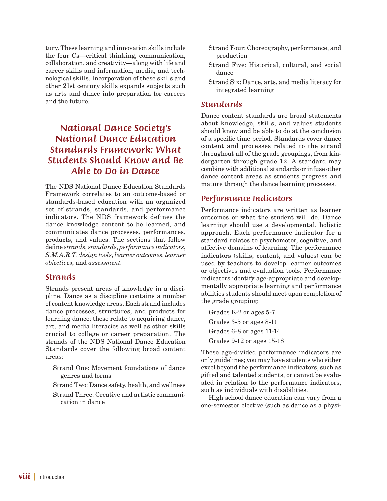tury. These learning and innovation skills include the four Cs—critical thinking, communication, collaboration, and creativity—along with life and career skills and information, media, and technological skills. Incorporation of these skills and other 21st century skills expands subjects such as arts and dance into preparation for careers and the future.

## *National Dance Society's National Dance Education Standards Framework: What Students Should Know and Be Able to Do in Dance*

The NDS National Dance Education Standards Framework correlates to an outcome-based or standards-based education with an organized set of strands, standards, and performance indicators. The NDS framework defines the dance knowledge content to be learned, and communicates dance processes, performances, products, and values. The sections that follow define *strands*, *standards*, *performance indicators*, *S.M.A.R.T. design tools*, *learner outcomes*, *learner objectives*, and *assessment.*

#### *Strands*

Strands present areas of knowledge in a discipline. Dance as a discipline contains a number of content knowledge areas. Each strand includes dance processes, structures, and products for learning dance; these relate to acquiring dance, art, and media literacies as well as other skills crucial to college or career preparation. The strands of the NDS National Dance Education Standards cover the following broad content areas:

- Strand One: Movement foundations of dance genres and forms
- Strand Two: Dance safety, health, and wellness
- Strand Three: Creative and artistic communication in dance
- Strand Four: Choreography, performance, and production
- Strand Five: Historical, cultural, and social dance
- Strand Six: Dance, arts, and media literacy for integrated learning

#### *Standards*

Dance content standards are broad statements about knowledge, skills, and values students should know and be able to do at the conclusion of a specific time period. Standards cover dance content and processes related to the strand throughout all of the grade groupings, from kindergarten through grade 12. A standard may combine with additional standards or infuse other dance content areas as students progress and mature through the dance learning processes.

### *Performance Indicators*

Performance indicators are written as learner outcomes or what the student will do. Dance learning should use a developmental, holistic approach. Each performance indicator for a standard relates to psychomotor, cognitive, and affective domains of learning. The performance indicators (skills, content, and values) can be used by teachers to develop learner outcomes or objectives and evaluation tools. Performance indicators identify age-appropriate and developmentally appropriate learning and performance abilities students should meet upon completion of the grade grouping:

Grades K-2 or ages 5-7 Grades 3-5 or ages 8-11 Grades 6-8 or ages 11-14 Grades 9-12 or ages 15-18

These age-divided performance indicators are only guidelines; you may have students who either excel beyond the performance indicators, such as gifted and talented students, or cannot be evaluated in relation to the performance indicators, such as individuals with disabilities.

High school dance education can vary from a one-semester elective (such as dance as a physi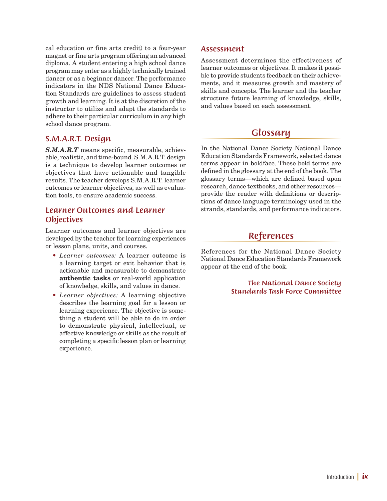cal education or fine arts credit) to a four-year magnet or fine arts program offering an advanced diploma. A student entering a high school dance program may enter as a highly technically trained dancer or as a beginner dancer. The performance indicators in the NDS National Dance Education Standards are guidelines to assess student growth and learning. It is at the discretion of the instructor to utilize and adapt the standards to adhere to their particular curriculum in any high school dance program.

#### *S.M.A.R.T. Design*

*S.M.A.R.T* means specific, measurable, achievable, realistic, and time-bound. S.M.A.R.T. design is a technique to develop learner outcomes or objectives that have actionable and tangible results. The teacher develops S.M.A.R.T. learner outcomes or learner objectives, as well as evaluation tools, to ensure academic success.

#### *Learner Outcomes and Learner Objectives*

Learner outcomes and learner objectives are developed by the teacher for learning experiences or lesson plans, units, and courses.

- *Learner outcomes:* A learner outcome is a learning target or exit behavior that is actionable and measurable to demonstrate authentic tasks or real-world application of knowledge, skills, and values in dance.
- *Learner objectives:* A learning objective describes the learning goal for a lesson or learning experience. The objective is something a student will be able to do in order to demonstrate physical, intellectual, or affective knowledge or skills as the result of completing a specific lesson plan or learning experience.

#### *Assessment*

Assessment determines the effectiveness of learner outcomes or objectives. It makes it possible to provide students feedback on their achievements, and it measures growth and mastery of skills and concepts. The learner and the teacher structure future learning of knowledge, skills, and values based on each assessment.

### *Glossary*

In the National Dance Society National Dance Education Standards Framework, selected dance terms appear in boldface. These bold terms are defined in the glossary at the end of the book. The glossary terms—which are defined based upon research, dance textbooks, and other resources provide the reader with definitions or descriptions of dance language terminology used in the strands, standards, and performance indicators.

### *References*

References for the National Dance Society National Dance Education Standards Framework appear at the end of the book.

> *The National Dance Society Standards Task Force Committee*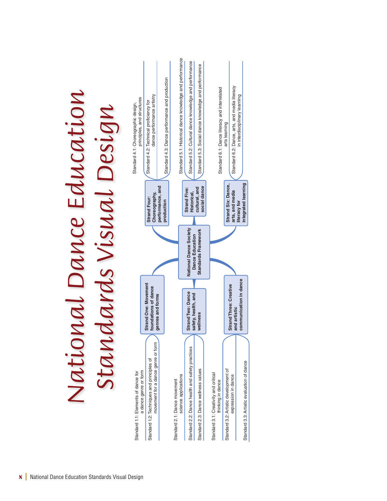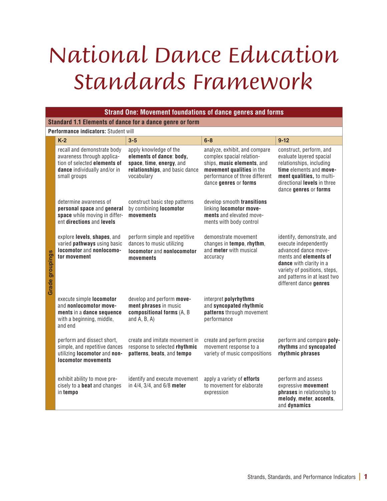# *National Dance Education Standards Framework*

|                        | <b>Strand One: Movement foundations of dance genres and forms</b>                                                                         |                                                                                                                                |                                                                                                                                                                                  |                                                                                                                                                                                                                           |  |  |
|------------------------|-------------------------------------------------------------------------------------------------------------------------------------------|--------------------------------------------------------------------------------------------------------------------------------|----------------------------------------------------------------------------------------------------------------------------------------------------------------------------------|---------------------------------------------------------------------------------------------------------------------------------------------------------------------------------------------------------------------------|--|--|
|                        | Standard 1.1 Elements of dance for a dance genre or form                                                                                  |                                                                                                                                |                                                                                                                                                                                  |                                                                                                                                                                                                                           |  |  |
|                        | Performance indicators: Student will                                                                                                      |                                                                                                                                |                                                                                                                                                                                  |                                                                                                                                                                                                                           |  |  |
|                        | $K-2$                                                                                                                                     | $3 - 5$                                                                                                                        | $6 - 8$                                                                                                                                                                          | $9 - 12$                                                                                                                                                                                                                  |  |  |
|                        | recall and demonstrate body<br>awareness through applica-<br>tion of selected elements of<br>dance individually and/or in<br>small groups | apply knowledge of the<br>elements of dance: body,<br>space, time, energy, and<br>relationships, and basic dance<br>vocabulary | analyze, exhibit, and compare<br>complex spacial relation-<br>ships, music elements, and<br>movement qualities in the<br>performance of three different<br>dance genres or forms | construct, perform, and<br>evaluate layered spacial<br>relationships, including<br>time elements and move-<br>ment qualities, to multi-<br>directional levels in three<br>dance genres or forms                           |  |  |
|                        | determine awareness of<br>personal space and general<br>space while moving in differ-<br>ent directions and levels                        | construct basic step patterns<br>by combining locomotor<br>movements                                                           | develop smooth transitions<br>linking locomotor move-<br>ments and elevated move-<br>ments with body control                                                                     |                                                                                                                                                                                                                           |  |  |
| <b>Grade groupings</b> | explore levels, shapes, and<br>varied pathways using basic<br>locomotor and nonlocomo-<br>tor movement                                    | perform simple and repetitive<br>dances to music utilizing<br>locomotor and nonlocomotor<br>movements                          | demonstrate movement<br>changes in tempo, rhythm,<br>and meter with musical<br>accuracy                                                                                          | identify, demonstrate, and<br>execute independently<br>advanced dance move-<br>ments and elements of<br>dance with clarity in a<br>variety of positions, steps,<br>and patterns in at least two<br>different dance genres |  |  |
|                        | execute simple locomotor<br>and nonlocomotor move-<br>ments in a dance sequence<br>with a beginning, middle,<br>and end                   | develop and perform move-<br>ment phrases in music<br>compositional forms (A, B<br>and $A$ , $B$ , $A$ )                       | interpret polyrhythms<br>and syncopated rhythmic<br>patterns through movement<br>performance                                                                                     |                                                                                                                                                                                                                           |  |  |
|                        | perform and dissect short,<br>simple, and repetitive dances<br>utilizing locomotor and non-<br><b>locomotor movements</b>                 | create and imitate movement in<br>response to selected rhythmic<br>patterns, beats, and tempo                                  | create and perform precise<br>movement response to a<br>variety of music compositions                                                                                            | perform and compare poly-<br>rhythms and syncopated<br>rhythmic phrases                                                                                                                                                   |  |  |
|                        | exhibit ability to move pre-<br>cisely to a <b>beat</b> and changes<br>in tempo                                                           | identify and execute movement<br>in 4/4, 3/4, and 6/8 meter                                                                    | apply a variety of <b>efforts</b><br>to movement for elaborate<br>expression                                                                                                     | perform and assess<br>expressive movement<br>phrases in relationship to<br>melody, meter, accents,<br>and dynamics                                                                                                        |  |  |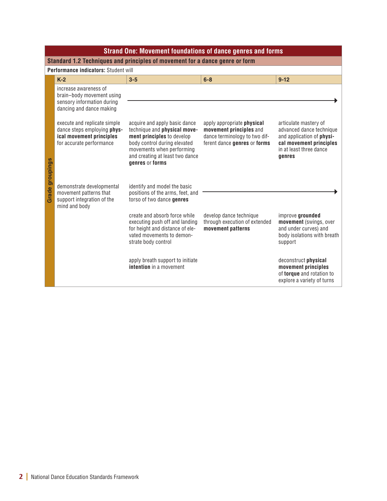|                 | <b>Strand One: Movement foundations of dance genres and forms</b>                                                                                                                                                                   |                                                                                                                                                                                                                                                                                             |                                                                                                                        |                                                                                                                                                |  |  |  |
|-----------------|-------------------------------------------------------------------------------------------------------------------------------------------------------------------------------------------------------------------------------------|---------------------------------------------------------------------------------------------------------------------------------------------------------------------------------------------------------------------------------------------------------------------------------------------|------------------------------------------------------------------------------------------------------------------------|------------------------------------------------------------------------------------------------------------------------------------------------|--|--|--|
|                 | Standard 1.2 Techniques and principles of movement for a dance genre or form                                                                                                                                                        |                                                                                                                                                                                                                                                                                             |                                                                                                                        |                                                                                                                                                |  |  |  |
|                 | Performance indicators: Student will                                                                                                                                                                                                |                                                                                                                                                                                                                                                                                             |                                                                                                                        |                                                                                                                                                |  |  |  |
|                 | $K-2$                                                                                                                                                                                                                               | $3 - 5$                                                                                                                                                                                                                                                                                     | $6 - 8$                                                                                                                | $9-12$                                                                                                                                         |  |  |  |
| Grade groupings | increase awareness of<br>brain-body movement using<br>sensory information during<br>dancing and dance making<br>execute and replicate simple<br>dance steps employing phys-<br>ical movement principles<br>for accurate performance | acquire and apply basic dance<br>technique and <b>physical move-</b><br>ment principles to develop<br>body control during elevated<br>movements when performing<br>and creating at least two dance<br>genres or forms                                                                       | apply appropriate physical<br>movement principles and<br>dance terminology to two dif-<br>ferent dance genres or forms | articulate mastery of<br>advanced dance technique<br>and application of physi-<br>cal movement principles<br>in at least three dance<br>genres |  |  |  |
|                 | demonstrate developmental<br>movement patterns that<br>support integration of the<br>mind and body                                                                                                                                  | identify and model the basic<br>positions of the arms, feet, and<br>torso of two dance genres<br>create and absorb force while<br>executing push off and landing<br>for height and distance of ele-<br>vated movements to demon-<br>strate body control<br>apply breath support to initiate | develop dance technique<br>through execution of extended<br>movement patterns                                          | improve grounded<br>movement (swings, over<br>and under curves) and<br>body isolations with breath<br>support<br>deconstruct physical          |  |  |  |
|                 |                                                                                                                                                                                                                                     | <b>intention</b> in a movement                                                                                                                                                                                                                                                              |                                                                                                                        | movement principles<br>of torque and rotation to<br>explore a variety of turns                                                                 |  |  |  |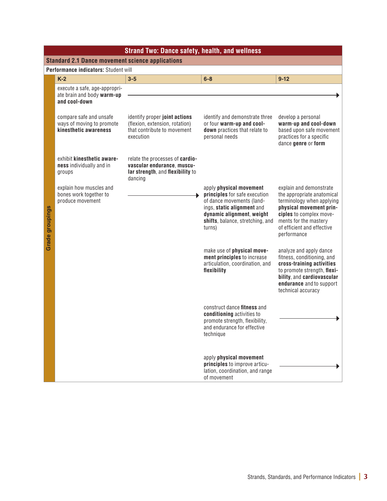|                        | <b>Strand Two: Dance safety, health, and wellness</b>                         |                                                                                                                     |                                                                                                                                                                                                |                                                                                                                                                                                                                |  |  |
|------------------------|-------------------------------------------------------------------------------|---------------------------------------------------------------------------------------------------------------------|------------------------------------------------------------------------------------------------------------------------------------------------------------------------------------------------|----------------------------------------------------------------------------------------------------------------------------------------------------------------------------------------------------------------|--|--|
|                        | <b>Standard 2.1 Dance movement science applications</b>                       |                                                                                                                     |                                                                                                                                                                                                |                                                                                                                                                                                                                |  |  |
|                        | Performance indicators: Student will                                          |                                                                                                                     |                                                                                                                                                                                                |                                                                                                                                                                                                                |  |  |
|                        | $K-2$                                                                         | $3 - 5$                                                                                                             | $6 - 8$                                                                                                                                                                                        | $9 - 12$                                                                                                                                                                                                       |  |  |
|                        | execute a safe, age-appropri-<br>ate brain and body warm-up<br>and cool-down  |                                                                                                                     |                                                                                                                                                                                                |                                                                                                                                                                                                                |  |  |
|                        | compare safe and unsafe<br>ways of moving to promote<br>kinesthetic awareness | identify proper joint actions<br>(flexion, extension, rotation)<br>that contribute to movement<br>execution         | identify and demonstrate three<br>or four warm-up and cool-<br>down practices that relate to<br>personal needs                                                                                 | develop a personal<br>warm-up and cool-down<br>based upon safe movement<br>practices for a specific<br>dance genre or form                                                                                     |  |  |
|                        | exhibit kinesthetic aware-<br>ness individually and in<br>groups              | relate the processes of <b>cardio-</b><br>vascular endurance, muscu-<br>lar strength, and flexibility to<br>dancing |                                                                                                                                                                                                |                                                                                                                                                                                                                |  |  |
| <b>Grade groupings</b> | explain how muscles and<br>bones work together to<br>produce movement         |                                                                                                                     | apply physical movement<br>principles for safe execution<br>of dance movements (land-<br>ings, static alignment and<br>dynamic alignment, weight<br>shifts, balance, stretching, and<br>turns) | explain and demonstrate<br>the appropriate anatomical<br>terminology when applying<br>physical movement prin-<br>ciples to complex move-<br>ments for the mastery<br>of efficient and effective<br>performance |  |  |
|                        |                                                                               |                                                                                                                     | make use of physical move-<br>ment principles to increase<br>articulation, coordination, and<br>flexibility                                                                                    | analyze and apply dance<br>fitness, conditioning, and<br>cross-training activities<br>to promote strength, flexi-<br>bility, and cardiovascular<br>endurance and to support<br>technical accuracy              |  |  |
|                        |                                                                               |                                                                                                                     | construct dance fitness and<br>conditioning activities to<br>promote strength, flexibility,<br>and endurance for effective<br>technique                                                        |                                                                                                                                                                                                                |  |  |
|                        |                                                                               |                                                                                                                     | apply physical movement<br>principles to improve articu-<br>lation, coordination, and range<br>of movement                                                                                     |                                                                                                                                                                                                                |  |  |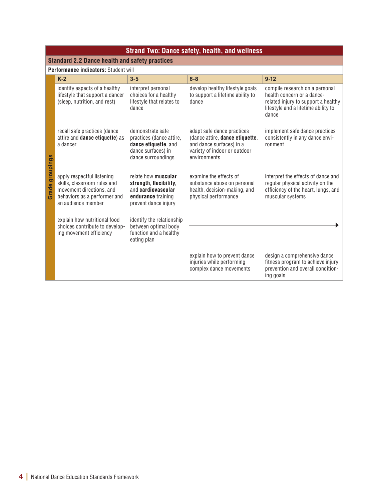|                        | <b>Strand Two: Dance safety, health, and wellness</b>                                                                                       |                                                                                                                   |                                                                                                                                           |                                                                                                                                                     |  |  |
|------------------------|---------------------------------------------------------------------------------------------------------------------------------------------|-------------------------------------------------------------------------------------------------------------------|-------------------------------------------------------------------------------------------------------------------------------------------|-----------------------------------------------------------------------------------------------------------------------------------------------------|--|--|
|                        | <b>Standard 2.2 Dance health and safety practices</b>                                                                                       |                                                                                                                   |                                                                                                                                           |                                                                                                                                                     |  |  |
|                        | Performance indicators: Student will                                                                                                        |                                                                                                                   |                                                                                                                                           |                                                                                                                                                     |  |  |
|                        | $K-2$                                                                                                                                       | $3 - 5$                                                                                                           | $6 - 8$                                                                                                                                   | $9 - 12$                                                                                                                                            |  |  |
|                        | identify aspects of a healthy<br>lifestyle that support a dancer<br>(sleep, nutrition, and rest)                                            | interpret personal<br>choices for a healthy<br>lifestyle that relates to<br>dance                                 | develop healthy lifestyle goals<br>to support a lifetime ability to<br>dance                                                              | compile research on a personal<br>health concern or a dance-<br>related injury to support a healthy<br>lifestyle and a lifetime ability to<br>dance |  |  |
|                        | recall safe practices (dance<br>attire and dance etiquette) as<br>a dancer                                                                  | demonstrate safe<br>practices (dance attire,<br>dance etiquette, and<br>dance surfaces) in<br>dance surroundings  | adapt safe dance practices<br>(dance attire, dance etiquette,<br>and dance surfaces) in a<br>variety of indoor or outdoor<br>environments | implement safe dance practices<br>consistently in any dance envi-<br>ronment                                                                        |  |  |
| <b>Grade groupings</b> | apply respectful listening<br>skills, classroom rules and<br>movement directions, and<br>behaviors as a performer and<br>an audience member | relate how muscular<br>strength, flexibility,<br>and cardiovascular<br>endurance training<br>prevent dance injury | examine the effects of<br>substance abuse on personal<br>health, decision-making, and<br>physical performance                             | interpret the effects of dance and<br>regular physical activity on the<br>efficiency of the heart, lungs, and<br>muscular systems                   |  |  |
|                        | explain how nutritional food<br>choices contribute to develop-<br>ing movement efficiency                                                   | identify the relationship<br>between optimal body<br>function and a healthy<br>eating plan                        |                                                                                                                                           |                                                                                                                                                     |  |  |
|                        |                                                                                                                                             |                                                                                                                   | explain how to prevent dance<br>injuries while performing<br>complex dance movements                                                      | design a comprehensive dance<br>fitness program to achieve injury<br>prevention and overall condition-<br>ing goals                                 |  |  |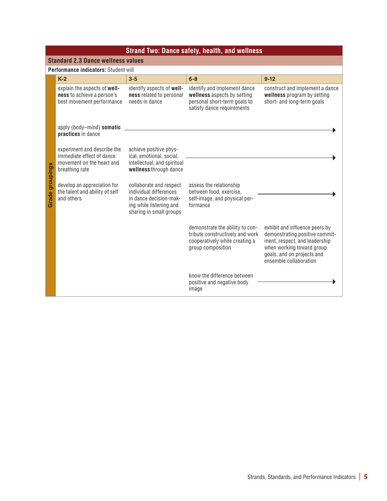|                 | <b>Strand Two: Dance safety, health, and wellness</b>                                                   |                                                                                                                                   |                                                                                                                           |                                                                                                                                                                                        |  |  |  |
|-----------------|---------------------------------------------------------------------------------------------------------|-----------------------------------------------------------------------------------------------------------------------------------|---------------------------------------------------------------------------------------------------------------------------|----------------------------------------------------------------------------------------------------------------------------------------------------------------------------------------|--|--|--|
|                 | <b>Standard 2.3 Dance wellness values</b>                                                               |                                                                                                                                   |                                                                                                                           |                                                                                                                                                                                        |  |  |  |
|                 | Performance indicators: Student will                                                                    |                                                                                                                                   |                                                                                                                           |                                                                                                                                                                                        |  |  |  |
|                 | $K-2$                                                                                                   | $3 - 5$                                                                                                                           | $6 - 8$                                                                                                                   | $9 - 12$                                                                                                                                                                               |  |  |  |
|                 | explain the aspects of well-<br>ness to achieve a person's<br>best movement performance                 | identify aspects of well-<br>ness related to personal<br>needs in dance                                                           | identify and implement dance<br>wellness aspects by setting<br>personal short-term goals to<br>satisfy dance requirements | construct and implement a dance<br>wellness program by setting<br>short- and long-term goals                                                                                           |  |  |  |
|                 | apply (body-mind) somatic<br>practices in dance                                                         |                                                                                                                                   |                                                                                                                           |                                                                                                                                                                                        |  |  |  |
| Grade groupings | experiment and describe the<br>immediate effect of dance<br>movement on the heart and<br>breathing rate | achieve positive phys-<br>ical, emotional, social,<br>intellectual, and spiritual<br>wellness through dance                       |                                                                                                                           |                                                                                                                                                                                        |  |  |  |
|                 | develop an appreciation for<br>the talent and ability of self<br>and others                             | collaborate and respect<br>individual differences<br>in dance decision-mak-<br>ing while listening and<br>sharing in small groups | assess the relationship<br>between food, exercise,<br>self-image, and physical per-<br>formance                           |                                                                                                                                                                                        |  |  |  |
|                 |                                                                                                         |                                                                                                                                   | demonstrate the ability to con-<br>tribute constructively and work<br>cooperatively while creating a<br>group composition | exhibit and influence peers by<br>demonstrating positive commit-<br>ment, respect, and leadership<br>when working toward group<br>goals, and on projects and<br>ensemble collaboration |  |  |  |
|                 |                                                                                                         |                                                                                                                                   | know the difference between<br>positive and negative body<br>image                                                        |                                                                                                                                                                                        |  |  |  |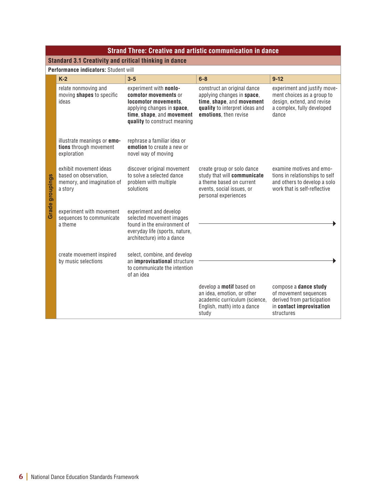|                 | <b>Strand Three: Creative and artistic communication in dance</b>                        |                                                                                                                                                                   |                                                                                                                                                   |                                                                                                                                 |  |  |
|-----------------|------------------------------------------------------------------------------------------|-------------------------------------------------------------------------------------------------------------------------------------------------------------------|---------------------------------------------------------------------------------------------------------------------------------------------------|---------------------------------------------------------------------------------------------------------------------------------|--|--|
|                 | Standard 3.1 Creativity and critical thinking in dance                                   |                                                                                                                                                                   |                                                                                                                                                   |                                                                                                                                 |  |  |
|                 | Performance indicators: Student will                                                     |                                                                                                                                                                   |                                                                                                                                                   |                                                                                                                                 |  |  |
|                 | $K-2$                                                                                    | $3 - 5$                                                                                                                                                           | $6 - 8$                                                                                                                                           | $9-12$                                                                                                                          |  |  |
|                 | relate nonmoving and<br>moving shapes to specific<br>ideas                               | experiment with nonlo-<br>comotor movements or<br>locomotor movements.<br>applying changes in space,<br>time, shape, and movement<br>quality to construct meaning | construct an original dance<br>applying changes in space,<br>time, shape, and movement<br>quality to interpret ideas and<br>emotions, then revise | experiment and justify move-<br>ment choices as a group to<br>design, extend, and revise<br>a complex, fully developed<br>dance |  |  |
| Grade groupings | illustrate meanings or <b>emo-</b><br>tions through movement<br>exploration              | rephrase a familiar idea or<br>emotion to create a new or<br>novel way of moving                                                                                  |                                                                                                                                                   |                                                                                                                                 |  |  |
|                 | exhibit movement ideas<br>based on observation,<br>memory, and imagination of<br>a story | discover original movement<br>to solve a selected dance<br>problem with multiple<br>solutions                                                                     | create group or solo dance<br>study that will communicate<br>a theme based on current<br>events, social issues, or<br>personal experiences        | examine motives and emo-<br>tions in relationships to self<br>and others to develop a solo<br>work that is self-reflective      |  |  |
|                 | experiment with movement<br>sequences to communicate<br>a theme                          | experiment and develop<br>selected movement images<br>found in the environment of<br>everyday life (sports, nature,<br>architecture) into a dance                 |                                                                                                                                                   |                                                                                                                                 |  |  |
|                 | create movement inspired<br>by music selections                                          | select, combine, and develop<br>an improvisational structure<br>to communicate the intention<br>of an idea                                                        |                                                                                                                                                   |                                                                                                                                 |  |  |
|                 |                                                                                          |                                                                                                                                                                   | develop a motif based on<br>an idea, emotion, or other<br>academic curriculum (science,<br>English, math) into a dance<br>study                   | compose a dance study<br>of movement sequences<br>derived from participation<br>in contact improvisation<br>structures          |  |  |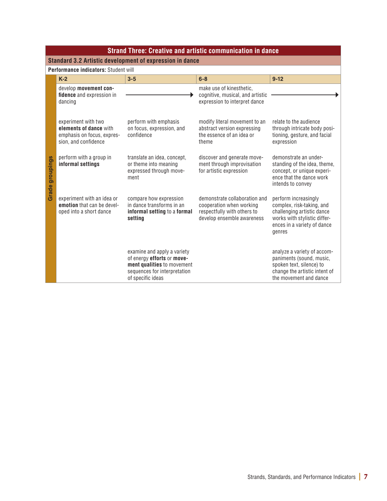|                 | <b>Strand Three: Creative and artistic communication in dance</b>                                   |                                                                                                                                              |                                                                                                                        |                                                                                                                                                          |  |  |  |
|-----------------|-----------------------------------------------------------------------------------------------------|----------------------------------------------------------------------------------------------------------------------------------------------|------------------------------------------------------------------------------------------------------------------------|----------------------------------------------------------------------------------------------------------------------------------------------------------|--|--|--|
|                 | Standard 3.2 Artistic development of expression in dance                                            |                                                                                                                                              |                                                                                                                        |                                                                                                                                                          |  |  |  |
|                 | Performance indicators: Student will                                                                |                                                                                                                                              |                                                                                                                        |                                                                                                                                                          |  |  |  |
|                 | $K-2$                                                                                               | $3 - 5$                                                                                                                                      | $6 - 8$                                                                                                                | $9 - 12$                                                                                                                                                 |  |  |  |
|                 | develop movement con-<br>fidence and expression in<br>dancing                                       |                                                                                                                                              | make use of kinesthetic,<br>cognitive, musical, and artistic<br>expression to interpret dance                          |                                                                                                                                                          |  |  |  |
| Grade groupings | experiment with two<br>elements of dance with<br>emphasis on focus, expres-<br>sion, and confidence | perform with emphasis<br>on focus, expression, and<br>confidence                                                                             | modify literal movement to an<br>abstract version expressing<br>the essence of an idea or<br>theme                     | relate to the audience<br>through intricate body posi-<br>tioning, gesture, and facial<br>expression                                                     |  |  |  |
|                 | perform with a group in<br>informal settings                                                        | translate an idea, concept,<br>or theme into meaning<br>expressed through move-<br>ment                                                      | discover and generate move-<br>ment through improvisation<br>for artistic expression                                   | demonstrate an under-<br>standing of the idea, theme,<br>concept, or unique experi-<br>ence that the dance work<br>intends to convey                     |  |  |  |
|                 | experiment with an idea or<br>emotion that can be devel-<br>oped into a short dance                 | compare how expression<br>in dance transforms in an<br>informal setting to a formal<br>setting                                               | demonstrate collaboration and<br>cooperation when working<br>respectfully with others to<br>develop ensemble awareness | perform increasingly<br>complex, risk-taking, and<br>challenging artistic dance<br>works with stylistic differ-<br>ences in a variety of dance<br>genres |  |  |  |
|                 |                                                                                                     | examine and apply a variety<br>of energy efforts or move-<br>ment qualities to movement<br>sequences for interpretation<br>of specific ideas |                                                                                                                        | analyze a variety of accom-<br>paniments (sound, music,<br>spoken text, silence) to<br>change the artistic intent of<br>the movement and dance           |  |  |  |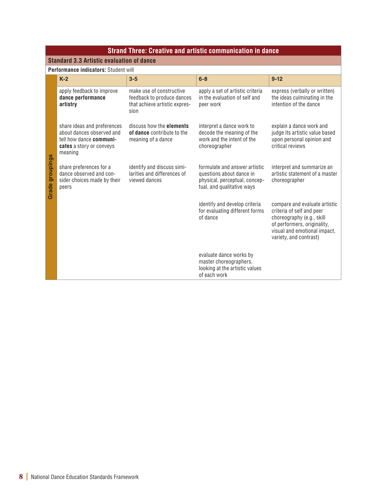|                        | <b>Strand Three: Creative and artistic communication in dance</b>                                                          |                                                                                                 |                                                                                                                          |                                                                                                                                                                                  |  |
|------------------------|----------------------------------------------------------------------------------------------------------------------------|-------------------------------------------------------------------------------------------------|--------------------------------------------------------------------------------------------------------------------------|----------------------------------------------------------------------------------------------------------------------------------------------------------------------------------|--|
|                        | <b>Standard 3.3 Artistic evaluation of dance</b>                                                                           |                                                                                                 |                                                                                                                          |                                                                                                                                                                                  |  |
|                        | <b>Performance indicators: Student will</b>                                                                                |                                                                                                 |                                                                                                                          |                                                                                                                                                                                  |  |
|                        | $K-2$                                                                                                                      | $3 - 5$                                                                                         | $6 - 8$                                                                                                                  | $9 - 12$                                                                                                                                                                         |  |
|                        | apply feedback to improve<br>dance performance<br>artistry                                                                 | make use of constructive<br>feedback to produce dances<br>that achieve artistic expres-<br>sion | apply a set of artistic criteria<br>in the evaluation of self and<br>peer work                                           | express (verbally or written)<br>the ideas culminating in the<br>intention of the dance                                                                                          |  |
| <b>Grade groupings</b> | share ideas and preferences<br>about dances observed and<br>tell how dance communi-<br>cates a story or conveys<br>meaning | discuss how the elements<br>of dance contribute to the<br>meaning of a dance                    | interpret a dance work to<br>decode the meaning of the<br>work and the intent of the<br>choreographer                    | explain a dance work and<br>judge its artistic value based<br>upon personal opinion and<br>critical reviews                                                                      |  |
|                        | share preferences for a<br>dance observed and con-<br>sider choices made by their<br>peers                                 | identify and discuss simi-<br>larities and differences of<br>viewed dances                      | formulate and answer artistic<br>questions about dance in<br>physical, perceptual, concep-<br>tual, and qualitative ways | interpret and summarize an<br>artistic statement of a master<br>choreographer                                                                                                    |  |
|                        |                                                                                                                            |                                                                                                 | identify and develop criteria<br>for evaluating different forms<br>of dance                                              | compare and evaluate artistic<br>criteria of self and peer<br>choreography (e.g., skill<br>of performers, originality,<br>visual and emotional impact,<br>variety, and contrast) |  |
|                        |                                                                                                                            |                                                                                                 | evaluate dance works by<br>master choreographers,<br>looking at the artistic values<br>of each work                      |                                                                                                                                                                                  |  |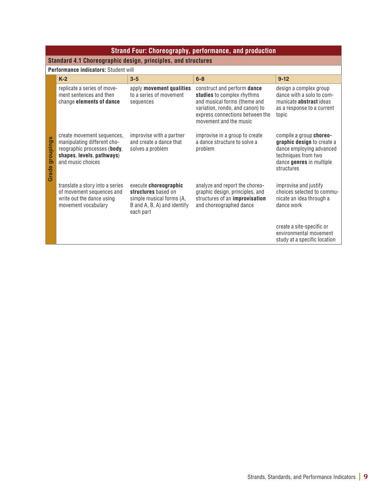|                           | <b>Strand Four: Choreography, performance, and production</b>                                                                              |                                                                                                                      |                                                                                                                                                                                           |                                                                                                                                                    |  |  |
|---------------------------|--------------------------------------------------------------------------------------------------------------------------------------------|----------------------------------------------------------------------------------------------------------------------|-------------------------------------------------------------------------------------------------------------------------------------------------------------------------------------------|----------------------------------------------------------------------------------------------------------------------------------------------------|--|--|
|                           | Standard 4.1 Choreographic design, principles, and structures                                                                              |                                                                                                                      |                                                                                                                                                                                           |                                                                                                                                                    |  |  |
|                           | Performance indicators: Student will                                                                                                       |                                                                                                                      |                                                                                                                                                                                           |                                                                                                                                                    |  |  |
|                           | $K-2$                                                                                                                                      | $3 - 5$                                                                                                              | $6 - 8$                                                                                                                                                                                   | $9 - 12$                                                                                                                                           |  |  |
| groupings<br><b>Grade</b> | replicate a series of move-<br>ment sentences and then<br>change elements of dance                                                         | apply movement qualities<br>to a series of movement<br>sequences                                                     | construct and perform dance<br>studies to complex rhythms<br>and musical forms (theme and<br>variation, rondo, and canon) to<br>express connections between the<br>movement and the music | design a complex group<br>dance with a solo to com-<br>municate <b>abstract</b> ideas<br>as a response to a current<br>topic                       |  |  |
|                           | create movement sequences,<br>manipulating different cho-<br>reographic processes (body,<br>shapes, levels, pathways)<br>and music choices | improvise with a partner<br>and create a dance that<br>solves a problem                                              | improvise in a group to create<br>a dance structure to solve a<br>problem                                                                                                                 | compile a group choreo-<br>graphic design to create a<br>dance employing advanced<br>techniques from two<br>dance genres in multiple<br>structures |  |  |
|                           | translate a story into a series<br>of movement sequences and<br>write out the dance using<br>movement vocabulary                           | execute choreographic<br>structures based on<br>simple musical forms (A,<br>B and A, B, A) and identify<br>each part | analyze and report the choreo-<br>graphic design, principles, and<br>structures of an improvisation<br>and choreographed dance                                                            | improvise and justify<br>choices selected to commu-<br>nicate an idea through a<br>dance work                                                      |  |  |
|                           |                                                                                                                                            |                                                                                                                      |                                                                                                                                                                                           | create a site-specific or<br>environmental movement<br>study at a specific location                                                                |  |  |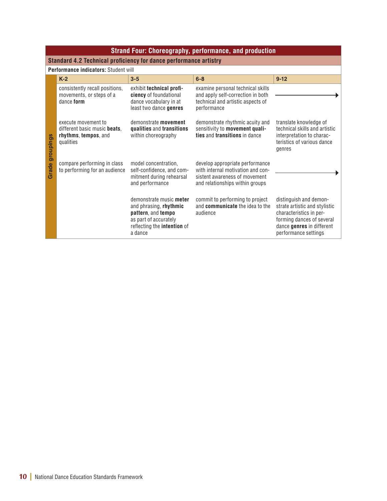|           | <b>Strand Four: Choreography, performance, and production</b>                            |                                                                                                                                            |                                                                                                                                          |                                                                                                                                                                      |  |  |
|-----------|------------------------------------------------------------------------------------------|--------------------------------------------------------------------------------------------------------------------------------------------|------------------------------------------------------------------------------------------------------------------------------------------|----------------------------------------------------------------------------------------------------------------------------------------------------------------------|--|--|
|           | Standard 4.2 Technical proficiency for dance performance artistry                        |                                                                                                                                            |                                                                                                                                          |                                                                                                                                                                      |  |  |
|           | Performance indicators: Student will                                                     |                                                                                                                                            |                                                                                                                                          |                                                                                                                                                                      |  |  |
|           | $K-2$                                                                                    | $3 - 5$                                                                                                                                    | $6 - 8$                                                                                                                                  | $9-12$                                                                                                                                                               |  |  |
|           | consistently recall positions,<br>movements, or steps of a<br>dance form                 | exhibit technical profi-<br>ciency of foundational<br>dance vocabulary in at<br>least two dance genres                                     | examine personal technical skills<br>and apply self-correction in both<br>technical and artistic aspects of<br>performance               |                                                                                                                                                                      |  |  |
| groupings | execute movement to<br>different basic music beats,<br>rhythms, tempos, and<br>qualities | demonstrate movement<br>qualities and transitions<br>within choreography                                                                   | demonstrate rhythmic acuity and<br>sensitivity to movement quali-<br>ties and transitions in dance                                       | translate knowledge of<br>technical skills and artistic<br>interpretation to charac-<br>teristics of various dance<br>genres                                         |  |  |
| Grade     | compare performing in class<br>to performing for an audience                             | model concentration,<br>self-confidence, and com-<br>mitment during rehearsal<br>and performance                                           | develop appropriate performance<br>with internal motivation and con-<br>sistent awareness of movement<br>and relationships within groups |                                                                                                                                                                      |  |  |
|           |                                                                                          | demonstrate music meter<br>and phrasing, rhythmic<br>pattern, and tempo<br>as part of accurately<br>reflecting the intention of<br>a dance | commit to performing to project<br>and communicate the idea to the<br>audience                                                           | distinguish and demon-<br>strate artistic and stylistic<br>characteristics in per-<br>forming dances of several<br>dance genres in different<br>performance settings |  |  |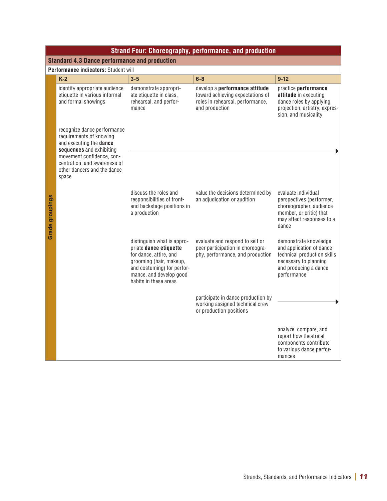|                 | <b>Strand Four: Choreography, performance, and production</b>                                                                                                                                                      |                                                                                                                                                                                             |                                                                                                                          |                                                                                                                                                   |  |
|-----------------|--------------------------------------------------------------------------------------------------------------------------------------------------------------------------------------------------------------------|---------------------------------------------------------------------------------------------------------------------------------------------------------------------------------------------|--------------------------------------------------------------------------------------------------------------------------|---------------------------------------------------------------------------------------------------------------------------------------------------|--|
|                 | <b>Standard 4.3 Dance performance and production</b>                                                                                                                                                               |                                                                                                                                                                                             |                                                                                                                          |                                                                                                                                                   |  |
|                 | Performance indicators: Student will                                                                                                                                                                               |                                                                                                                                                                                             |                                                                                                                          |                                                                                                                                                   |  |
|                 | $K-2$                                                                                                                                                                                                              | $3 - 5$                                                                                                                                                                                     | $6 - 8$                                                                                                                  | $9-12$                                                                                                                                            |  |
|                 | identify appropriate audience<br>etiquette in various informal<br>and formal showings                                                                                                                              | demonstrate appropri-<br>ate etiquette in class,<br>rehearsal, and perfor-<br>mance                                                                                                         | develop a performance attitude<br>toward achieving expectations of<br>roles in rehearsal, performance,<br>and production | practice performance<br>attitude in executing<br>dance roles by applying<br>projection, artistry, expres-<br>sion, and musicality                 |  |
| Grade groupings | recognize dance performance<br>requirements of knowing<br>and executing the dance<br>sequences and exhibiting<br>movement confidence, con-<br>centration, and awareness of<br>other dancers and the dance<br>space |                                                                                                                                                                                             |                                                                                                                          |                                                                                                                                                   |  |
|                 |                                                                                                                                                                                                                    | discuss the roles and<br>responsibilities of front-<br>and backstage positions in<br>a production                                                                                           | value the decisions determined by<br>an adjudication or audition                                                         | evaluate individual<br>perspectives (performer,<br>choreographer, audience<br>member, or critic) that<br>may affect responses to a<br>dance       |  |
|                 |                                                                                                                                                                                                                    | distinguish what is appro-<br>priate dance etiquette<br>for dance, attire, and<br>grooming (hair, makeup,<br>and costuming) for perfor-<br>mance, and develop good<br>habits in these areas | evaluate and respond to self or<br>peer participation in choreogra-<br>phy, performance, and production                  | demonstrate knowledge<br>and application of dance<br>technical production skills<br>necessary to planning<br>and producing a dance<br>performance |  |
|                 |                                                                                                                                                                                                                    |                                                                                                                                                                                             | participate in dance production by<br>working assigned technical crew<br>or production positions                         |                                                                                                                                                   |  |
|                 |                                                                                                                                                                                                                    |                                                                                                                                                                                             |                                                                                                                          | analyze, compare, and<br>report how theatrical<br>components contribute<br>to various dance perfor-<br>mances                                     |  |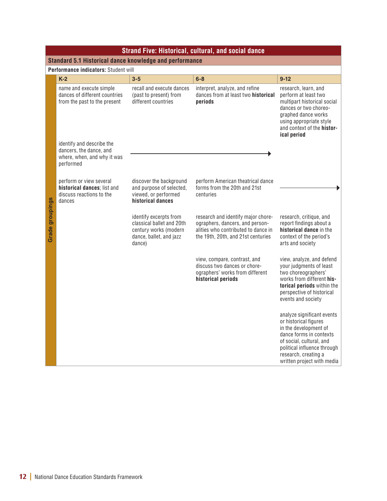|                                                         | <b>Strand Five: Historical, cultural, and social dance</b>                                       |                                                                                                                   |                                                                                                                                                    |                                                                                                                                                                                                                          |  |  |  |
|---------------------------------------------------------|--------------------------------------------------------------------------------------------------|-------------------------------------------------------------------------------------------------------------------|----------------------------------------------------------------------------------------------------------------------------------------------------|--------------------------------------------------------------------------------------------------------------------------------------------------------------------------------------------------------------------------|--|--|--|
| Standard 5.1 Historical dance knowledge and performance |                                                                                                  |                                                                                                                   |                                                                                                                                                    |                                                                                                                                                                                                                          |  |  |  |
|                                                         | Performance indicators: Student will                                                             |                                                                                                                   |                                                                                                                                                    |                                                                                                                                                                                                                          |  |  |  |
|                                                         | $K-2$                                                                                            | $3 - 5$                                                                                                           | $6-8$                                                                                                                                              | $9-12$                                                                                                                                                                                                                   |  |  |  |
|                                                         | name and execute simple<br>dances of different countries<br>from the past to the present         | recall and execute dances<br>(past to present) from<br>different countries                                        | interpret, analyze, and refine<br>dances from at least two historical<br>periods                                                                   | research, learn, and<br>perform at least two<br>multipart historical social<br>dances or two choreo-<br>graphed dance works<br>using appropriate style<br>and context of the histor-<br>ical period                      |  |  |  |
|                                                         | identify and describe the<br>dancers, the dance, and<br>where, when, and why it was<br>performed |                                                                                                                   |                                                                                                                                                    |                                                                                                                                                                                                                          |  |  |  |
|                                                         | perform or view several<br>historical dances; list and<br>discuss reactions to the<br>dances     | discover the background<br>and purpose of selected,<br>viewed, or performed<br>historical dances                  | perform American theatrical dance<br>forms from the 20th and 21st<br>centuries                                                                     |                                                                                                                                                                                                                          |  |  |  |
| <b>Grade groupings</b>                                  |                                                                                                  | identify excerpts from<br>classical ballet and 20th<br>century works (modern<br>dance, ballet, and jazz<br>dance) | research and identify major chore-<br>ographers, dancers, and person-<br>alities who contributed to dance in<br>the 19th, 20th, and 21st centuries | research, critique, and<br>report findings about a<br>historical dance in the<br>context of the period's<br>arts and society                                                                                             |  |  |  |
|                                                         |                                                                                                  |                                                                                                                   | view, compare, contrast, and<br>discuss two dances or chore-<br>ographers' works from different<br>historical periods                              | view, analyze, and defend<br>your judgments of least<br>two choreographers'<br>works from different his-<br>torical periods within the<br>perspective of historical<br>events and society                                |  |  |  |
|                                                         |                                                                                                  |                                                                                                                   |                                                                                                                                                    | analyze significant events<br>or historical figures<br>in the development of<br>dance forms in contexts<br>of social, cultural, and<br>political influence through<br>research, creating a<br>written project with media |  |  |  |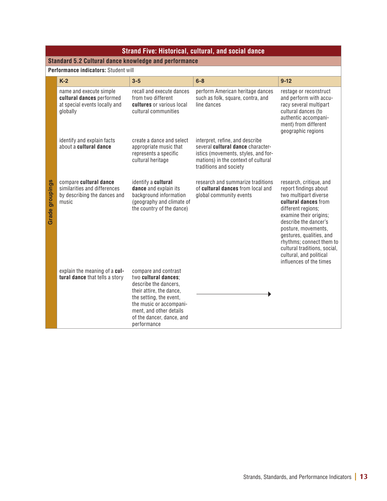| <b>Strand Five: Historical, cultural, and social dance</b>   |                                                                                                   |                                                                                                                                                                                                                                |                                                                                                                                                                              |                                                                                                                                                                                                                                                                                                                                                 |  |
|--------------------------------------------------------------|---------------------------------------------------------------------------------------------------|--------------------------------------------------------------------------------------------------------------------------------------------------------------------------------------------------------------------------------|------------------------------------------------------------------------------------------------------------------------------------------------------------------------------|-------------------------------------------------------------------------------------------------------------------------------------------------------------------------------------------------------------------------------------------------------------------------------------------------------------------------------------------------|--|
| <b>Standard 5.2 Cultural dance knowledge and performance</b> |                                                                                                   |                                                                                                                                                                                                                                |                                                                                                                                                                              |                                                                                                                                                                                                                                                                                                                                                 |  |
|                                                              | Performance indicators: Student will                                                              |                                                                                                                                                                                                                                |                                                                                                                                                                              |                                                                                                                                                                                                                                                                                                                                                 |  |
|                                                              | $K-2$                                                                                             | $3 - 5$                                                                                                                                                                                                                        | $6 - 8$                                                                                                                                                                      | $9 - 12$                                                                                                                                                                                                                                                                                                                                        |  |
| <b>Grade groupings</b>                                       | name and execute simple<br>cultural dances performed<br>at special events locally and<br>globally | recall and execute dances<br>from two different<br>cultures or various local<br>cultural communities                                                                                                                           | perform American heritage dances<br>such as folk, square, contra, and<br>line dances                                                                                         | restage or reconstruct<br>and perform with accu-<br>racy several multipart<br>cultural dances (to<br>authentic accompani-<br>ment) from different<br>geographic regions                                                                                                                                                                         |  |
|                                                              | identify and explain facts<br>about a cultural dance                                              | create a dance and select<br>appropriate music that<br>represents a specific<br>cultural heritage                                                                                                                              | interpret, refine, and describe<br>several cultural dance character-<br>istics (movements, styles, and for-<br>mations) in the context of cultural<br>traditions and society |                                                                                                                                                                                                                                                                                                                                                 |  |
|                                                              | compare cultural dance<br>similarities and differences<br>by describing the dances and<br>music   | identify a cultural<br>dance and explain its<br>background information<br>(geography and climate of<br>the country of the dance)                                                                                               | research and summarize traditions<br>of cultural dances from local and<br>global community events                                                                            | research, critique, and<br>report findings about<br>two multipart diverse<br>cultural dances from<br>different regions;<br>examine their origins;<br>describe the dancer's<br>posture, movements,<br>gestures, qualities, and<br>rhythms; connect them to<br>cultural traditions, social,<br>cultural, and political<br>influences of the times |  |
|                                                              | explain the meaning of a cul-<br>tural dance that tells a story                                   | compare and contrast<br>two cultural dances:<br>describe the dancers.<br>their attire, the dance,<br>the setting, the event,<br>the music or accompani-<br>ment, and other details<br>of the dancer, dance, and<br>performance |                                                                                                                                                                              |                                                                                                                                                                                                                                                                                                                                                 |  |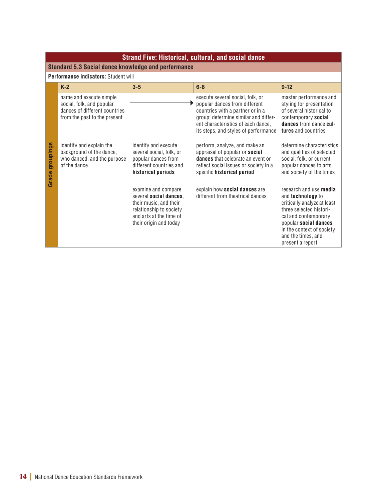| <b>Strand Five: Historical, cultural, and social dance</b> |                                                                                                                       |                                                                                                                                                         |                                                                                                                                                                                                                             |                                                                                                                                                                                                                                      |  |
|------------------------------------------------------------|-----------------------------------------------------------------------------------------------------------------------|---------------------------------------------------------------------------------------------------------------------------------------------------------|-----------------------------------------------------------------------------------------------------------------------------------------------------------------------------------------------------------------------------|--------------------------------------------------------------------------------------------------------------------------------------------------------------------------------------------------------------------------------------|--|
|                                                            | <b>Standard 5.3 Social dance knowledge and performance</b>                                                            |                                                                                                                                                         |                                                                                                                                                                                                                             |                                                                                                                                                                                                                                      |  |
|                                                            | Performance indicators: Student will                                                                                  |                                                                                                                                                         |                                                                                                                                                                                                                             |                                                                                                                                                                                                                                      |  |
|                                                            | $K-2$                                                                                                                 | $3 - 5$                                                                                                                                                 | $6 - 8$                                                                                                                                                                                                                     | $9 - 12$                                                                                                                                                                                                                             |  |
|                                                            | name and execute simple<br>social, folk, and popular<br>dances of different countries<br>from the past to the present |                                                                                                                                                         | execute several social, folk, or<br>popular dances from different<br>countries with a partner or in a<br>group; determine similar and differ-<br>ent characteristics of each dance,<br>its steps, and styles of performance | master performance and<br>styling for presentation<br>of several historical to<br>contemporary social<br>dances from dance cul-<br>tures and countries                                                                               |  |
| groupings<br>Grade                                         | identify and explain the<br>background of the dance,<br>who danced, and the purpose<br>of the dance                   | identify and execute<br>several social, folk, or<br>popular dances from<br>different countries and<br>historical periods                                | perform, analyze, and make an<br>appraisal of popular or social<br><b>dances</b> that celebrate an event or<br>reflect social issues or society in a<br>specific historical period                                          | determine characteristics<br>and qualities of selected<br>social, folk, or current<br>popular dances to arts<br>and society of the times                                                                                             |  |
|                                                            |                                                                                                                       | examine and compare<br>several social dances,<br>their music, and their<br>relationship to society<br>and arts at the time of<br>their origin and today | explain how social dances are<br>different from theatrical dances                                                                                                                                                           | research and use media<br>and <b>technology</b> to<br>critically analyze at least<br>three selected histori-<br>cal and contemporary<br>popular social dances<br>in the context of society<br>and the times, and<br>present a report |  |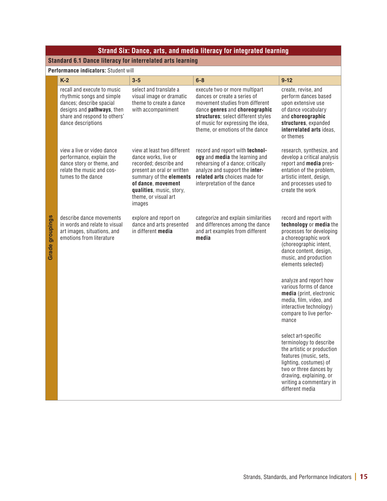| <b>Standard 6.1 Dance literacy for interrelated arts learning</b><br>Performance indicators: Student will<br>$K-2$<br>recall and execute to music<br>rhythmic songs and simple<br>dances; describe spacial<br>designs and <b>pathways</b> , then<br>share and respond to others'<br>dance descriptions<br>view a live or video dance<br>performance, explain the<br>dance story or theme, and<br>relate the music and cos- | $3 - 5$<br>select and translate a<br>visual image or dramatic<br>theme to create a dance<br>with accompaniment<br>view at least two different<br>dance works, live or | $6 - 8$<br>execute two or more multipart<br>dances or create a series of<br>movement studies from different<br>dance genres and choreographic<br>structures; select different styles<br>of music for expressing the idea,<br>theme, or emotions of the dance<br>record and report with technol- | $9 - 12$<br>create, revise, and<br>perform dances based<br>upon extensive use<br>of dance vocabulary<br>and choreographic<br>structures, expanded<br>interrelated arts ideas,<br>or themes                                                                                                                                                                                                                                                                                                                             |
|----------------------------------------------------------------------------------------------------------------------------------------------------------------------------------------------------------------------------------------------------------------------------------------------------------------------------------------------------------------------------------------------------------------------------|-----------------------------------------------------------------------------------------------------------------------------------------------------------------------|-------------------------------------------------------------------------------------------------------------------------------------------------------------------------------------------------------------------------------------------------------------------------------------------------|------------------------------------------------------------------------------------------------------------------------------------------------------------------------------------------------------------------------------------------------------------------------------------------------------------------------------------------------------------------------------------------------------------------------------------------------------------------------------------------------------------------------|
|                                                                                                                                                                                                                                                                                                                                                                                                                            |                                                                                                                                                                       |                                                                                                                                                                                                                                                                                                 |                                                                                                                                                                                                                                                                                                                                                                                                                                                                                                                        |
|                                                                                                                                                                                                                                                                                                                                                                                                                            |                                                                                                                                                                       |                                                                                                                                                                                                                                                                                                 |                                                                                                                                                                                                                                                                                                                                                                                                                                                                                                                        |
|                                                                                                                                                                                                                                                                                                                                                                                                                            |                                                                                                                                                                       |                                                                                                                                                                                                                                                                                                 |                                                                                                                                                                                                                                                                                                                                                                                                                                                                                                                        |
|                                                                                                                                                                                                                                                                                                                                                                                                                            |                                                                                                                                                                       |                                                                                                                                                                                                                                                                                                 |                                                                                                                                                                                                                                                                                                                                                                                                                                                                                                                        |
| tumes to the dance                                                                                                                                                                                                                                                                                                                                                                                                         | recorded; describe and<br>present an oral or written<br>summary of the elements<br>of dance, movement<br>qualities, music, story,<br>theme, or visual art<br>images   | ogy and media the learning and<br>rehearsing of a dance; critically<br>analyze and support the inter-<br>related arts choices made for<br>interpretation of the dance                                                                                                                           | research, synthesize, and<br>develop a critical analysis<br>report and media pres-<br>entation of the problem,<br>artistic intent, design,<br>and processes used to<br>create the work                                                                                                                                                                                                                                                                                                                                 |
| describe dance movements<br>in words and relate to visual<br>art images, situations, and<br>emotions from literature                                                                                                                                                                                                                                                                                                       | explore and report on<br>dance and arts presented<br>in different media                                                                                               | categorize and explain similarities<br>and differences among the dance<br>and art examples from different<br>media                                                                                                                                                                              | record and report with<br>technology or media the<br>processes for developing<br>a choreographic work<br>(choreographic intent,<br>dance content, design,<br>music, and production<br>elements selected)<br>analyze and report how<br>various forms of dance<br>media (print, electronic<br>media, film, video, and<br>interactive technology)<br>compare to live perfor-<br>mance<br>select art-specific<br>terminology to describe<br>the artistic or production<br>features (music, sets,<br>lighting, costumes) of |
|                                                                                                                                                                                                                                                                                                                                                                                                                            |                                                                                                                                                                       |                                                                                                                                                                                                                                                                                                 |                                                                                                                                                                                                                                                                                                                                                                                                                                                                                                                        |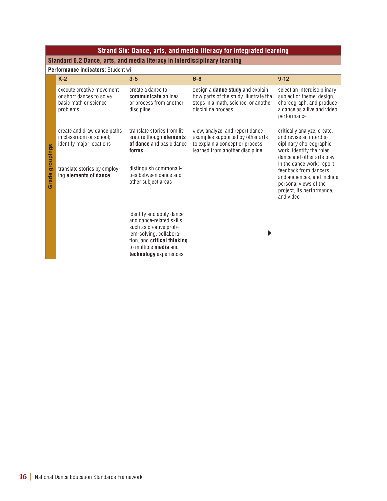| Strand Six: Dance, arts, and media literacy for integrated learning        |                                                                                            |                                                                                                                                                                                                    |                                                                                                                                                |                                                                                                                                                     |  |  |  |
|----------------------------------------------------------------------------|--------------------------------------------------------------------------------------------|----------------------------------------------------------------------------------------------------------------------------------------------------------------------------------------------------|------------------------------------------------------------------------------------------------------------------------------------------------|-----------------------------------------------------------------------------------------------------------------------------------------------------|--|--|--|
| Standard 6.2 Dance, arts, and media literacy in interdisciplinary learning |                                                                                            |                                                                                                                                                                                                    |                                                                                                                                                |                                                                                                                                                     |  |  |  |
|                                                                            | Performance indicators: Student will                                                       |                                                                                                                                                                                                    |                                                                                                                                                |                                                                                                                                                     |  |  |  |
| groupings<br>Grade                                                         | $K-2$                                                                                      | $3 - 5$                                                                                                                                                                                            | $6 - 8$                                                                                                                                        | $9 - 12$                                                                                                                                            |  |  |  |
|                                                                            | execute creative movement<br>or short dances to solve<br>basic math or science<br>problems | create a dance to<br>communicate an idea<br>or process from another<br>discipline                                                                                                                  | design a <b>dance study</b> and explain<br>how parts of the study illustrate the<br>steps in a math, science, or another<br>discipline process | select an interdisciplinary<br>subject or theme; design,<br>choreograph, and produce<br>a dance as a live and video<br>performance                  |  |  |  |
|                                                                            | create and draw dance paths<br>in classroom or school:<br>identify major locations         | translate stories from lit-<br>erature though elements<br>of dance and basic dance<br>forms                                                                                                        | view, analyze, and report dance<br>examples supported by other arts<br>to explain a concept or process<br>learned from another discipline      | critically analyze, create,<br>and revise an interdis-<br>ciplinary choreographic<br>work; identify the roles<br>dance and other arts play          |  |  |  |
|                                                                            | translate stories by employ-<br>ing elements of dance                                      | distinguish commonali-<br>ties between dance and<br>other subject areas                                                                                                                            |                                                                                                                                                | in the dance work; report<br>feedback from dancers<br>and audiences, and include<br>personal views of the<br>project, its performance,<br>and video |  |  |  |
|                                                                            |                                                                                            | identify and apply dance<br>and dance-related skills<br>such as creative prob-<br>lem-solving, collabora-<br>tion, and <b>critical thinking</b><br>to multiple media and<br>technology experiences |                                                                                                                                                |                                                                                                                                                     |  |  |  |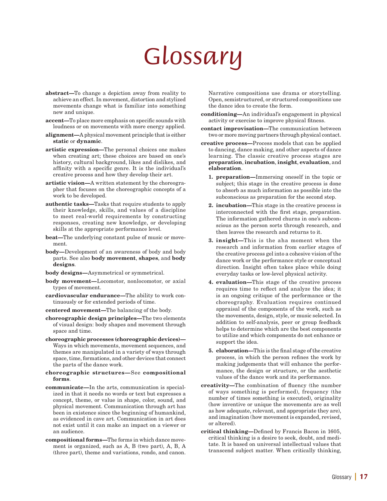# *Glossary*

- abstract—To change a depiction away from reality to achieve an effect. In movement, distortion and stylized movements change what is familiar into something new and unique.
- accent—To place more emphasis on specific sounds with loudness or on movements with more energy applied.
- alignment—A physical movement principle that is either static or dynamic.
- artistic expression—The personal choices one makes when creating art; these choices are based on one's history, cultural background, likes and dislikes, and affinity with a specific genre. It is the individual's creative process and how they develop their art.
- artistic vision—A written statement by the choreographer that focuses on the choreographic concepts of a work to be developed.
- authentic tasks—Tasks that require students to apply their knowledge, skills, and values of a discipline to meet real-world requirements by constructing responses, creating new knowledge, or developing skills at the appropriate performance level.
- beat—The underlying constant pulse of music or movement.
- body—Development of an awareness of body and body parts. See also body movement, shapes, and body designs.
- body designs—Asymmetrical or symmetrical.
- body movement—Locomotor, nonlocomotor, or axial types of movement.
- cardiovascular endurance—The ability to work continuously or for extended periods of time.
- centered movement—The balancing of the body.
- choreographic design principles—The two elements of visual design: body shapes and movement through space and time.
- choreographic processes (choreographic devices)— Ways in which movements, movement sequences, and themes are manipulated in a variety of ways through space, time, formations, and other devices that connect the parts of the dance work.
- choreographic structures—See compositional forms.
- communicate—In the arts, communication is specialized in that it needs no words or text but expresses a concept, theme, or value in shape, color, sound, and physical movement. Communication through art has been in existence since the beginning of humankind, as evidenced in cave art. Communication in art does not exist until it can make an impact on a viewer or an audience.
- compositional forms—The forms in which dance movement is organized, such as A, B (two part), A, B, A (three part), theme and variations, rondo, and canon.

Narrative compositions use drama or storytelling. Open, semistructured, or structured compositions use the dance idea to create the form.

- conditioning—An individual's engagement in physical activity or exercise to improve physical fitness.
- contact improvisation—The communication between two or more moving partners through physical contact.
- creative process—Process models that can be applied to dancing, dance making, and other aspects of dance learning. The classic creative process stages are preparation, incubation, insight, evaluation, and elaboration.
	- 1. preparation—Immersing oneself in the topic or subject; this stage in the creative process is done to absorb as much information as possible into the subconscious as preparation for the second step.
	- 2. incubation—This stage in the creative process is interconnected with the first stage, preparation. The information gathered churns in one's subconscious as the person sorts through research, and then leaves the research and returns to it.
	- 3. insight—This is the aha moment when the research and information from earlier stages of the creative process gel into a cohesive vision of the dance work or the performance style or conceptual direction. Insight often takes place while doing everyday tasks or low-level physical activity.
	- 4. evaluation—This stage of the creative process requires time to reflect and analyze the idea; it is an ongoing critique of the performance or the choreography. Evaluation requires continued appraisal of the components of the work, such as the movements, design, style, or music selected. In addition to self-analysis, peer or group feedback helps to determine which are the best components to utilize and which components do not enhance or support the idea.
	- 5. elaboration—This is the final stage of the creative process, in which the person refines the work by making judgements that will enhance the performance, the design or structure, or the aesthetic values of the dance work and its performance.
- creativity—The combination of fluency (the number of ways something is performed), frequency (the number of times something is executed), originality (how inventive or unique the movements are as well as how adequate, relevant, and appropriate they are), and imagination (how movement is expanded, revised, or altered).
- critical thinking—Defined by Francis Bacon in 1605, critical thinking is a desire to seek, doubt, and meditate. It is based on universal intellectual values that transcend subject matter. When critically thinking,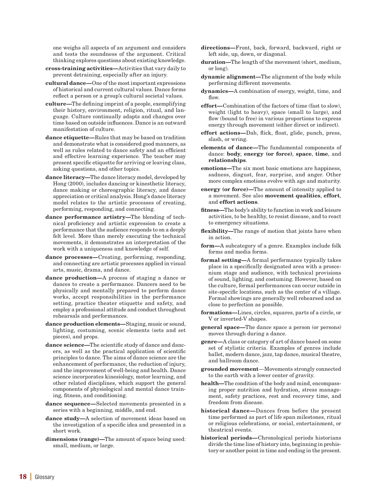one weighs all aspects of an argument and considers and tests the soundness of the argument. Critical thinking explores questions about existing knowledge.

- cross-training activities—Activities that vary daily to prevent detraining, especially after an injury.
- cultural dance—One of the most important expressions of historical and current cultural values. Dance forms reflect a person or a group's cultural societal values.
- culture—The defining imprint of a people, exemplifying their history, environment, religion, ritual, and language. Culture continually adapts and changes over time based on outside influences. Dance is an outward manifestation of culture.
- dance etiquette—Rules that may be based on tradition and demonstrate what is considered good manners, as well as rules related to dance safety and an efficient and effective learning experience. The teacher may present specific etiquette for arriving or leaving class, asking questions, and other topics.
- dance literacy—The dance literacy model, developed by Hong (2000), includes dancing or kinesthetic literacy, dance making or choreographic literacy, and dance appreciation or critical analysis. Hong's dance literacy model relates to the artistic processes of creating, performing, responding, and connecting.
- dance performance artistry—The blending of technical proficiency and artistic expression to create a performance that the audience responds to on a deeply felt level. More than merely executing the technical movements, it demonstrates an interpretation of the work with a uniqueness and knowledge of self.
- dance processes—Creating, performing, responding, and connecting are artistic processes applied in visual arts, music, drama, and dance.
- dance production—A process of staging a dance or dances to create a performance. Dancers need to be physically and mentally prepared to perform dance works, accept responsibilities in the performance setting, practice theater etiquette and safety, and employ a professional attitude and conduct throughout rehearsals and performances.
- dance production elements—Staging, music or sound, lighting, costuming, scenic elements (sets and set pieces), and props.
- dance science—The scientific study of dance and dancers, as well as the practical application of scientific principles to dance. The aims of dance science are the enhancement of performance, the reduction of injury, and the improvement of well-being and health. Dance science incorporates kinesiology, motor learning, and other related disciplines, which support the general components of physiological and mental dance training, fitness, and conditioning.
- dance sequence—Selected movements presented in a series with a beginning, middle, and end.
- dance study—A selection of movement ideas based on the investigation of a specific idea and presented in a short work.
- dimensions (range)—The amount of space being used: small, medium, or large.
- directions—Front, back, forward, backward, right or left side, up, down, or diagonal.
- duration—The length of the movement (short, medium, or long).
- dynamic alignment—The alignment of the body while performing different movements.
- dynamics—A combination of energy, weight, time, and flow.
- effort—Combination of the factors of time (fast to slow), weight (light to heavy), space (small to large), and flow (bound to free) in various proportions to express energy through movement (either direct or indirect).
- effort actions—Dab, flick, float, glide, punch, press, slash, or wring.
- elements of dance—The fundamental components of dance: body, energy (or force), space, time, and relationships.
- emotions—The six most basic emotions are happiness, sadness, disgust, fear, surprise, and anger. Other more complex emotions evolve with age and maturity.
- energy (or force)—The amount of intensity applied to a movement. See also movement qualities, effort, and effort actions.
- fitness—The body's ability to function in work and leisure activities, to be healthy, to resist disease, and to react to emergency situations.
- flexibility—The range of motion that joints have when in action.
- form—A subcategory of a genre. Examples include folk forms and media forms.
- formal setting—A formal performance typically takes place in a specifically designated area with a proscenium stage and audience, with technical provisions of sound, lighting, and costuming. However, based on the culture, formal performances can occur outside in site-specific locations, such as the center of a village. Formal showings are generally well rehearsed and as close to perfection as possible.
- formations—Lines, circles, squares, parts of a circle, or V or inverted-V shapes.
- general space—The dance space a person (or persons) moves through during a dance.
- genre—A class or category of art of dance based on some set of stylistic criteria. Examples of genres include ballet, modern dance, jazz, tap dance, musical theatre, and ballroom dance.
- grounded movement—Movements strongly connected to the earth with a lower center of gravity.
- health—The condition of the body and mind, encompassing proper nutrition and hydration, stress management, safety practices, rest and recovery time, and freedom from disease.
- historical dance—Dances from before the present time performed as part of life span milestones, ritual or religious celebrations, or social, entertainment, or theatrical events.
- historical periods—Chronological periods historians divide the time line of history into, beginning in prehistory or another point in time and ending in the present.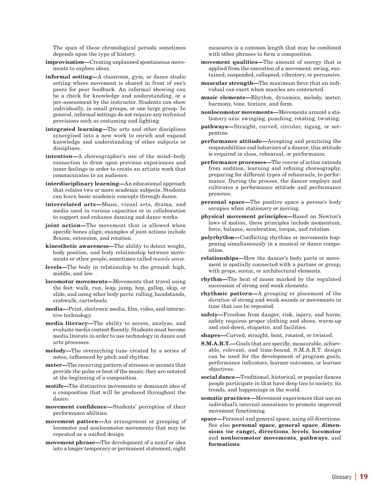The span of these chronological periods sometimes depends upon the type of history.

- improvisation—Creating unplanned spontaneous movements to explore ideas.
- informal setting—A classroom, gym, or dance studio setting where movement is shared in front of one's peers for peer feedback. An informal showing can be a check for knowledge and understanding, or a pre-assessment by the instructor. Students can show individually, in small groups, or one large group. In general, informal settings do not require any technical provisions such as costuming and lighting.
- integrated learning—The arts and other disciplines synergized into a new work to enrich and expand knowledge and understanding of other subjects or disciplines.
- intention—A choreographer's use of the mind–body connection to draw upon previous experiences and inner feelings in order to create an artistic work that communicates to an audience.
- interdisciplinary learning—An educational approach that relates two or more academic subjects. Students can learn basic academic concepts through dance.
- interrelated arts—Music, visual arts, drama, and media used in various capacities or in collaboration to support and enhance dancing and dance works.
- joint action—The movement that is allowed when specific bones align; examples of joint actions include flexion, extension, and rotation.
- kinesthetic awareness—The ability to detect weight, body position, and body relationship between movements or other people; sometimes called *muscle sense*.
- levels—The body in relationship to the ground: high, middle, and low.
- locomotor movements—Movements that travel using the feet: walk, run, leap, jump, hop, gallop, skip, or slide, and using other body parts: rolling, handstands, crabwalk, cartwheels.
- media—Print, electronic media, film, video, and interactive technology.
- media literacy—The ability to access, analyze, and evaluate media content fluently. Students must become media literate in order to use technology in dance and arts processes.
- melody—The overarching tune created by a series of notes, influenced by pitch and rhythm.
- meter—The recurring pattern of stresses or accents that provide the pulse or beat of the music; they are notated at the beginning of a composition.
- motifs—The distinctive movements or dominant idea of a composition that will be produced throughout the dance.
- movement confidence—Students' perception of their performance abilities.
- movement pattern—An arrangement or grouping of locomotor and nonlocomotor movements that may be repeated as a unified design.
- movement phrase—The development of a motif or idea into a longer temporary or permanent statement; eight

measures is a common length that may be combined with other phrases to form a composition.

- movement qualities—The amount of energy that is applied from the execution of a movement: swing, sustained, suspended, collapsed, vibratory, or percussive.
- muscular strength—The maximum force that an individual can exert when muscles are contracted.
- music elements—Rhythm, dynamics, melody, meter, harmony, tone, texture, and form.
- nonlocomotor movements—Movements around a stationary axis: swinging, punching, rotating, twisting.
- pathways—Straight, curved, circular, zigzag, or serpentine.
- performance attitude—Accepting and practicing the responsibilities and behaviors of a dancer; this attitude is required in class, rehearsal, or performance.
- performance processes—The course of action extends from audition, learning and refining choreography, preparing for different types of rehearsals, to performance. During the process, the dancer employs and cultivates a performance attitude and performance presence.
- personal space—The positive space a person's body occupies when stationary or moving.
- physical movement principles—Based on Newton's laws of motion, these principles include momentum, force, balance, acceleration, torque, and rotation.
- polyrhythm—Conflicting rhythms or movements happening simultaneously in a musical or dance composition.
- relationships—How the dancer's body parts or movement is spatially connected with a partner or group, with props, scenic, or architectural elements.
- rhythm—The beat of music marked by the regulated succession of strong and weak elements.
- rhythmic pattern—A grouping or placement of the *duration* of strong and weak sounds or movements in time that can be repeated.
- safety—Freedom from danger, risk, injury, and harm; safety requires proper clothing and shoes, warm-up and cool-down, etiquette, and facilities.
- shapes—Curved, straight, bent, rotated, or twisted.
- S.M.A.R.T.—Goals that are specific, measurable, achievable, relevant, and time-bound. S.M.A.R.T. design can be used for the development of program goals, performance indicators, learner outcomes, or learner objectives.
- social dance—Traditional, historical, or popular dances people participate in that have deep ties to society, its trends, and happenings in the world.
- somatic practices—Movement experiences that use an individual's internal sensations to promote improved movement functioning.
- space—Personal and general space, using all directions. See also personal space, general space, dimensions (or range), directions, levels, locomotor and nonlocomotor movements, pathways, and formations.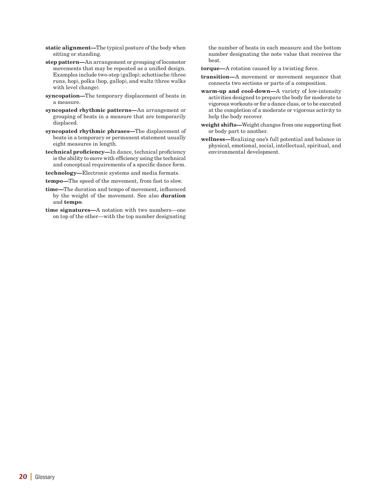- static alignment—The typical posture of the body when sitting or standing.
- step pattern—An arrangement or grouping of locomotor movements that may be repeated as a unified design. Examples include two-step (gallop); schottische (three runs, hop), polka (hop, gallop), and waltz (three walks with level change).
- syncopation—The temporary displacement of beats in a measure.
- syncopated rhythmic patterns—An arrangement or grouping of beats in a measure that are temporarily displaced.
- syncopated rhythmic phrases—The displacement of beats in a temporary or permanent statement usually eight measures in length.
- technical proficiency—In dance, technical proficiency is the ability to move with efficiency using the technical and conceptual requirements of a specific dance form.
- technology—Electronic systems and media formats.
- tempo—The speed of the movement, from fast to slow.
- time—The duration and tempo of movement, influenced by the weight of the movement. See also duration and tempo.
- time signatures—A notation with two numbers—one on top of the other—with the top number designating

the number of beats in each measure and the bottom number designating the note value that receives the beat.

- torque—A rotation caused by a twisting force.
- transition—A movement or movement sequence that connects two sections or parts of a composition.
- warm-up and cool-down—A variety of low-intensity activities designed to prepare the body for moderate to vigorous workouts or for a dance class, or to be executed at the completion of a moderate or vigorous activity to help the body recover.
- weight shifts—Weight changes from one supporting foot or body part to another.
- wellness—Realizing one's full potential and balance in physical, emotional, social, intellectual, spiritual, and environmental development.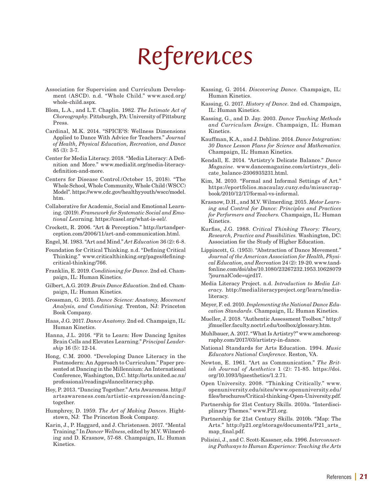# *References*

- Association for Supervision and Curriculum Development (ASCD). n.d. "Whole Child." www.ascd.org/ whole-child.aspx.
- Blom, L.A., and L.T. Chaplin. 1982. *The Intimate Act of Choreography*. Pittsburgh, PA: University of Pittsburg Press.
- Cardinal, M.K. 2014. "SPICE2S: Wellness Dimensions Applied to Dance With Advice for Teachers." *Journal of Health, Physical Education, Recreation, and Dance* 85 (3): 3-7.
- Center for Media Literacy. 2018. "Media Literacy: A Definition and More." www.medialit.org/media-literacydefinition-and-more.
- Centers for Disease Control.(October 15, 2018). "The Whole School, Whole Community, Whole Child (WSCC) Model". https://www.cdc.gov/healthyyouth/wscc/model. htm.
- Collaborative for Academic, Social and Emotional Learning. (2019). *Framework for Systematic Social and Emotional Lea*rning. https://casel.org/what-is-sel/.
- Crockett, R. 2006. "Art & Perception." http://artandperception.com/2006/11/art-and-communication.html.
- Engel, M. 1983. "Art and Mind." *Art Education* 36 (2): 6-8.
- Foundation for Critical Thinking. n.d. "Defining Critical Thinking." www.criticalthinking.org/pages/definingcritical-thinking/766.
- Franklin, E. 2019. *Conditioning for Dance*. 2nd ed. Champaign, IL: Human Kinetics.
- Gilbert, A.G. 2019. *Brain Dance Education*. 2nd ed. Champaign, IL: Human Kinetics.
- Grossman, G. 2015. *Dance Science: Anatomy, Movement Analysis, and Conditioning*. Trenton, NJ: Princeton Book Company.
- Haas, J.G. 2017. *Dance Anatomy*. 2nd ed. Champaign, IL: Human Kinetics.
- Hanna, J.L. 2016. "Fit to Learn: How Dancing Ignites Brain Cells and Elevates Learning." *Principal Leadership* 16 (5): 12-14.
- Hong, C.M. 2000. "Developing Dance Literacy in the Postmodern: An Approach to Curriculum." Paper presented at Dancing in the Millennium: An International Conference, Washington, D.C. http://arts.united.ac.nz/ professional/readings/danceliteracy.php.
- Hoy, P. 2013. "Dancing Together." Arts Awareness. http:// artsawareness.com/artistic-expression/dancingtogether.
- Humphrey, D. 1959. *The Art of Making Dances*. Hightstown, NJ: The Princeton Book Company.
- Karin, J., P. Haggard, and J. Christensen. 2017. "Mental Training." In *Dancer Wellness*, edited by M.V. Wilmerding and D. Krasnow, 57-68. Champaign, IL: Human Kinetics.
- Kassing, G. 2014. *Discovering Dance.* Champaign, IL: Human Kinetics.
- Kassing, G. 2017. *History of Dance*. 2nd ed. Champaign, IL: Human Kinetics.
- Kassing, G., and D. Jay. 2003. *Dance Teaching Methods and Curriculum Design*. Champaign, IL: Human Kinetics.
- Kauffman, K.A., and J. Dehline. 2014. *Dance Integration: 30 Dance Lesson Plans for Science and Mathematics.* Champaign, IL: Human Kinetics.
- Kendall, E. 2014. "Artistry's Delicate Balance." *Dance Magazine.* www.dancemagazine.com/artistrys\_delicate\_balance-2306935231.html.
- Kim, M. 2010. "Formal and Informal Settings of Art." https://eportfolios.macaulay.cuny.edu/misuscrapbook/2010/12/17/formal-vs-informal.
- Krasnow, D.H., and M.V. Wilmerding. 2015. *Motor Learning and Control for Dance: Principles and Practices for Performers and Teachers.* Champaign, IL: Human Kinetics.
- Kurfiss, J.G. 1988. *Critical Thinking Theory: Theory, Research, Practice and Possibilities.* Washington, DC: Association for the Study of Higher Education.
- Lippincott, G. (1953). "Abstraction of Dance Movement." *Journal of the American Association for Health, Physical Education, and Recreation* 24 (2): 19-20. www.tandfonline.com/doi/abs/10.1080/23267232.1953.10628079 ?journalCode=ujrd17.
- Media Literacy Project. n.d. *Introduction to Media Literacy.* http://medialiteracyproject.org/learn/medialiteracy.
- Meyer, F. ed. 2010. *Implementing the National Dance Education Standards*. Champaign, IL: Human Kinetics.
- Mueller, J. 2018. "Authentic Assessment Toolbox." http:// jfmueller.faculty.noctrl.edu/toolbox/glossary.htm.
- Muhlbauer, A. 2017. "What Is Artistry?" www.amchoreography.com/2017/03/artistry-in-dance.
- National Standards for Arts Education. 1994. *Music Educators National Conference*. Reston, VA.
- Newton, E. 1961. "Art as Communication." *The British Journal of Aesthetics* 1 (2): 71-85. https://doi. org/10.1093/bjaesthetics/1.2.71.
- Open University. 2008. "Thinking Critically." www. openuniversity.edu/sites/www.openuniversity.edu/ files/brochures/Critical-thinking-Open-University.pdf.
- Partnership for 21st Century Skills. 2010a. "Interdisciplinary Themes." www.P21.org.
- Partnership for 21st Century Skills. 2010b. "Map: The Arts." http://p21.org/storage/documents/P21\_arts\_ map\_final.pdf.
- Polisini, J., and C. Scott-Kassner, eds. 1996. *Interconnecting Pathways to Human Experience: Teaching the Arts*